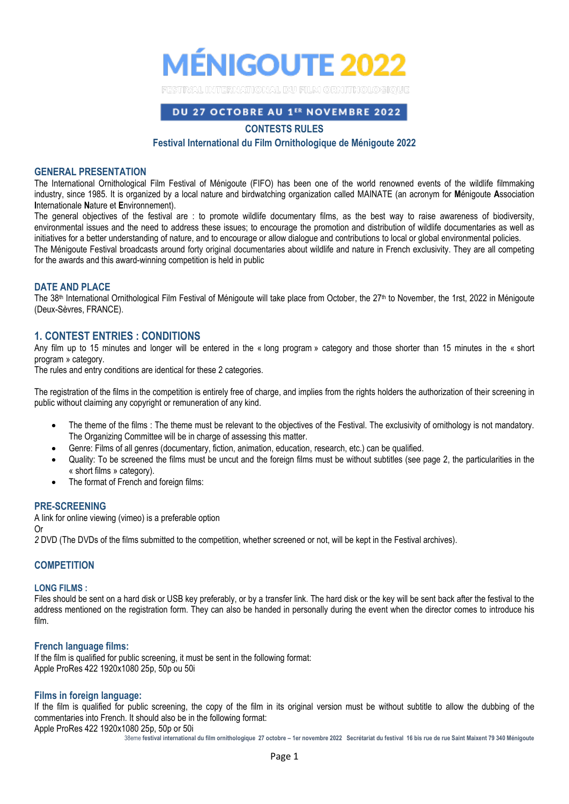

## DU 27 OCTOBRE AU 1ER NOVEMBRE 2022

## **CONTESTS RULES**

## **Festival International du Film Ornithologique de Ménigoute 2022**

### **GENERAL PRESENTATION**

The International Ornithological Film Festival of Ménigoute (FIFO) has been one of the world renowned events of the wildlife filmmaking industry, since 1985. It is organized by a local nature and birdwatching organization called MAINATE (an acronym for **M**énigoute **A**ssociation **I**nternationale **N**ature et **E**nvironnement).

The general objectives of the festival are : to promote wildlife documentary films, as the best way to raise awareness of biodiversity, environmental issues and the need to address these issues; to encourage the promotion and distribution of wildlife documentaries as well as initiatives for a better understanding of nature, and to encourage or allow dialogue and contributions to local or global environmental policies. The Ménigoute Festival broadcasts around forty original documentaries about wildlife and nature in French exclusivity. They are all competing

for the awards and this award-winning competition is held in public

### **DATE AND PLACE**

The 38<sup>th</sup> International Ornithological Film Festival of Ménigoute will take place from October, the 27<sup>th</sup> to November, the 1rst, 2022 in Ménigoute (Deux-Sèvres, FRANCE).

## **1. CONTEST ENTRIES : CONDITIONS**

Any film up to 15 minutes and longer will be entered in the « long program » category and those shorter than 15 minutes in the « short program » category.

The rules and entry conditions are identical for these 2 categories.

The registration of the films in the competition is entirely free of charge, and implies from the rights holders the authorization of their screening in public without claiming any copyright or remuneration of any kind.

- The theme of the films : The theme must be relevant to the objectives of the Festival. The exclusivity of ornithology is not mandatory. The Organizing Committee will be in charge of assessing this matter.
- Genre: Films of all genres (documentary, fiction, animation, education, research, etc.) can be qualified.
- Quality: To be screened the films must be uncut and the foreign films must be without subtitles (see page 2, the particularities in the « short films » category).
- The format of French and foreign films:

#### **PRE-SCREENING**

A link for online viewing (vimeo) is a preferable option Or

*2* DVD (The DVDs of the films submitted to the competition, whether screened or not, will be kept in the Festival archives).

## **COMPETITION**

#### **LONG FILMS :**

Files should be sent on a hard disk or USB key preferably, or by a transfer link. The hard disk or the key will be sent back after the festival to the address mentioned on the registration form. They can also be handed in personally during the event when the director comes to introduce his film.

### **French language films:**

If the film is qualified for public screening, it must be sent in the following format: Apple ProRes 422 1920x1080 25p, 50p ou 50i

### **Films in foreign language:**

If the film is qualified for public screening, the copy of the film in its original version must be without subtitle to allow the dubbing of the commentaries into French. It should also be in the following format:

Apple ProRes 422 1920x1080 25p, 50p or 50i

38eme **festival international du film ornithologique 27 octobre – 1er novembre 2022 Secrétariat du festival 16 bis rue de rue Saint Maixent 79 340 Ménigoute**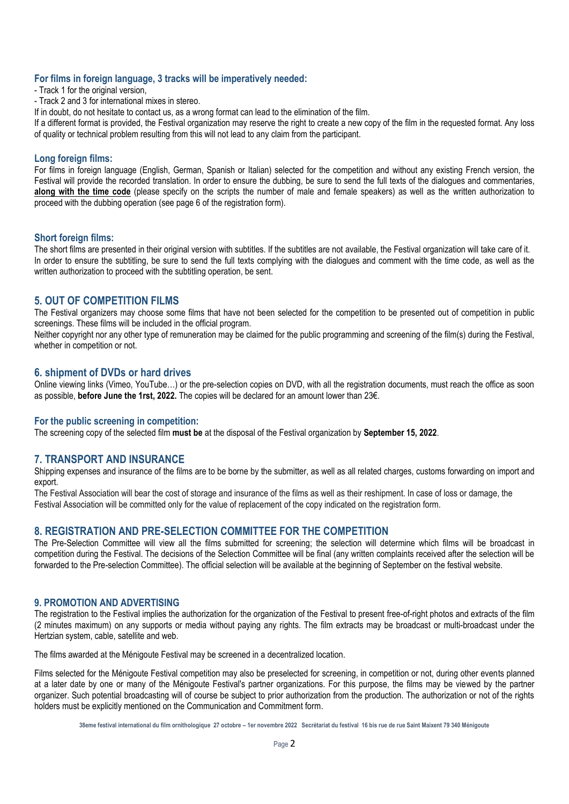## **For films in foreign language, 3 tracks will be imperatively needed:**

- Track 1 for the original version,
- Track 2 and 3 for international mixes in stereo.

If in doubt, do not hesitate to contact us, as a wrong format can lead to the elimination of the film.

If a different format is provided, the Festival organization may reserve the right to create a new copy of the film in the requested format. Any loss of quality or technical problem resulting from this will not lead to any claim from the participant.

## **Long foreign films:**

For films in foreign language (English, German, Spanish or Italian) selected for the competition and without any existing French version, the Festival will provide the recorded translation. In order to ensure the dubbing, be sure to send the full texts of the dialogues and commentaries, **along with the time code** (please specify on the scripts the number of male and female speakers) as well as the written authorization to proceed with the dubbing operation (see page 6 of the registration form).

#### **Short foreign films:**

The short films are presented in their original version with subtitles. If the subtitles are not available, the Festival organization will take care of it. In order to ensure the subtitling, be sure to send the full texts complying with the dialogues and comment with the time code, as well as the written authorization to proceed with the subtitling operation, be sent.

## **5. OUT OF COMPETITION FILMS**

The Festival organizers may choose some films that have not been selected for the competition to be presented out of competition in public screenings. These films will be included in the official program.

Neither copyright nor any other type of remuneration may be claimed for the public programming and screening of the film(s) during the Festival, whether in competition or not.

### **6. shipment of DVDs or hard drives**

Online viewing links (Vimeo, YouTube…) or the pre-selection copies on DVD, with all the registration documents, must reach the office as soon as possible, **before June the 1rst, 2022.** The copies will be declared for an amount lower than 23€.

### **For the public screening in competition:**

The screening copy of the selected film **must be** at the disposal of the Festival organization by **September 15, 2022**.

# **7. TRANSPORT AND INSURANCE**

Shipping expenses and insurance of the films are to be borne by the submitter, as well as all related charges, customs forwarding on import and export.

The Festival Association will bear the cost of storage and insurance of the films as well as their reshipment. In case of loss or damage, the Festival Association will be committed only for the value of replacement of the copy indicated on the registration form.

## **8. REGISTRATION AND PRE-SELECTION COMMITTEE FOR THE COMPETITION**

The Pre-Selection Committee will view all the films submitted for screening; the selection will determine which films will be broadcast in competition during the Festival. The decisions of the Selection Committee will be final (any written complaints received after the selection will be forwarded to the Pre-selection Committee). The official selection will be available at the beginning of September on the festival website.

#### **9. PROMOTION AND ADVERTISING**

The registration to the Festival implies the authorization for the organization of the Festival to present free-of-right photos and extracts of the film (2 minutes maximum) on any supports or media without paying any rights. The film extracts may be broadcast or multi-broadcast under the Hertzian system, cable, satellite and web.

The films awarded at the Ménigoute Festival may be screened in a decentralized location.

Films selected for the Ménigoute Festival competition may also be preselected for screening, in competition or not, during other events planned at a later date by one or many of the Ménigoute Festival's partner organizations. For this purpose, the films may be viewed by the partner organizer. Such potential broadcasting will of course be subject to prior authorization from the production. The authorization or not of the rights holders must be explicitly mentioned on the Communication and Commitment form.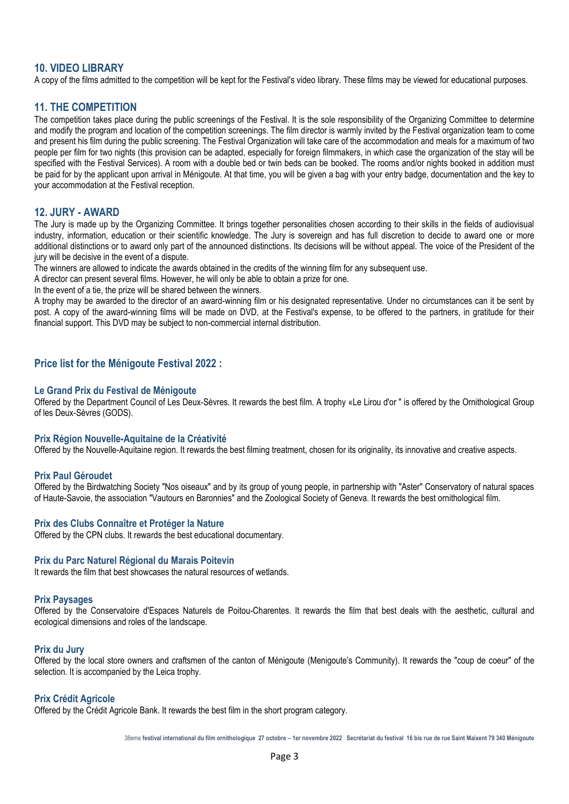# **10. VIDEO LIBRARY**

A copy of the films admitted to the competition will be kept for the Festival's video library. These films may be viewed for educational purposes.

# **11. THE COMPETITION**

The competition takes place during the public screenings of the Festival. It is the sole responsibility of the Organizing Committee to determine and modify the program and location of the competition screenings. The film director is warmly invited by the Festival organization team to come and present his film during the public screening. The Festival Organization will take care of the accommodation and meals for a maximum of two people per film for two nights (this provision can be adapted, especially for foreign filmmakers, in which case the organization of the stay will be specified with the Festival Services). A room with a double bed or twin beds can be booked. The rooms and/or nights booked in addition must be paid for by the applicant upon arrival in Ménigoute. At that time, you will be given a bag with your entry badge, documentation and the key to your accommodation at the Festival reception.

## **12. JURY - AWARD**

The Jury is made up by the Organizing Committee. It brings together personalities chosen according to their skills in the fields of audiovisual industry, information, education or their scientific knowledge. The Jury is sovereign and has full discretion to decide to award one or more additional distinctions or to award only part of the announced distinctions. Its decisions will be without appeal. The voice of the President of the jury will be decisive in the event of a dispute.

The winners are allowed to indicate the awards obtained in the credits of the winning film for any subsequent use.

A director can present several films. However, he will only be able to obtain a prize for one.

In the event of a tie, the prize will be shared between the winners.

A trophy may be awarded to the director of an award-winning film or his designated representative. Under no circumstances can it be sent by post. A copy of the award-winning films will be made on DVD, at the Festival's expense, to be offered to the partners, in gratitude for their financial support. This DVD may be subject to non-commercial internal distribution.

## **Price list for the Ménigoute Festival 2022 :**

#### **Le Grand Prix du Festival de Ménigoute**

Offered by the Department Council of Les Deux-Sèvres. It rewards the best film. A trophy «Le Lirou d'or " is offered by the Ornithological Group of les Deux-Sèvres (GODS).

#### **Prix Région Nouvelle-Aquitaine de la Créativité**

Offered by the Nouvelle-Aquitaine region. It rewards the best filming treatment, chosen for its originality, its innovative and creative aspects.

## **Prix Paul Géroudet**

Offered by the Birdwatching Society "Nos oiseaux" and by its group of young people, in partnership with "Aster" Conservatory of natural spaces of Haute-Savoie, the association "Vautours en Baronnies" and the Zoological Society of Geneva. It rewards the best ornithological film.

#### **Prix des Clubs Connaître et Protéger la Nature**

Offered by the CPN clubs. It rewards the best educational documentary.

#### **Prix du Parc Naturel Régional du Marais Poitevin**

It rewards the film that best showcases the natural resources of wetlands.

### **Prix Paysages**

Offered by the Conservatoire d'Espaces Naturels de Poitou-Charentes. It rewards the film that best deals with the aesthetic, cultural and ecological dimensions and roles of the landscape.

#### **Prix du Jury**

Offered by the local store owners and craftsmen of the canton of Ménigoute (Menigoute's Community). It rewards the "coup de coeur" of the selection. It is accompanied by the Leica trophy.

### **Prix Crédit Agricole**

Offered by the Crédit Agricole Bank. It rewards the best film in the short program category.